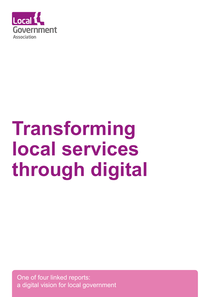

# **Transforming local services through digital**

One of four linked reports: a digital vision for local government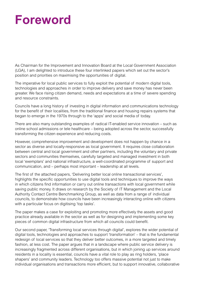### **Foreword**

As Chairman for the Improvement and Innovation Board at the Local Government Association (LGA), I am delighted to introduce these four interlinked papers which set out the sector's position and priorities on maximising the opportunities of digital.

The imperative for local public services to fully exploit the potential of modern digital tools, technologies and approaches in order to improve delivery and save money has never been greater. We face rising citizen demand, needs and expectations at a time of severe spending and resource constraints.

Councils have a long history of investing in digital information and communications technology for the benefit of their localities, from the traditional finance and housing repairs systems that began to emerge in the 1970s through to the 'apps' and social media of today.

There are also many outstanding examples of radical IT-enabled service innovation – such as online school admissions or tele healthcare – being adopted across the sector, successfully transforming the citizen experience and reducing costs.

However, comprehensive improvement and development does not happen by chance in a sector as diverse and locally-responsive as local government. It requires close collaboration between central and local government and other partners, including the voluntary and private sectors and communities themselves, carefully targeted and managed investment in both local 'exemplars' and national infrastructure, a well-coordinated programme of support and communication, and – perhaps most important – leadership at all levels.

The first of the attached papers, 'Delivering better local online transactional services', highlights the specific opportunities to use digital tools and techniques to improve the ways in which citizens find information or carry out online transactions with local government while saving public money. It draws on research by the Society of IT Management and the Local Authority Contact Centre Benchmarking Group, as well as data from a range of individual councils, to demonstrate how councils have been increasingly interacting online with citizens with a particular focus on digitising 'top tasks'.

The paper makes a case for exploiting and promoting more effectively the assets and good practice already available in the sector as well as for designing and implementing some key pieces of common digital infrastructure from which all councils could benefit.

Our second paper, 'Transforming local services through digital', explores the wider potential of digital tools, technologies and approaches to support 'transformation' – that is the fundamental redesign of local services so that they deliver better outcomes, in a more targeted and timely fashion, at less cost. The paper argues that in a landscape where public service delivery is increasingly fragmented across different organisations, but in which joining up services around residents in a locality is essential, councils have a vital role to play as ring holders, 'place shapers' and community leaders. Technology too offers massive potential not just to make individual organisations and transactions more efficient, but to support innovative, collaborative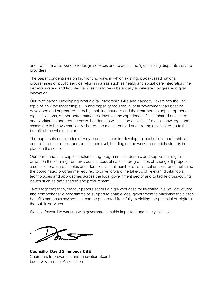and transformative work to redesign services and to act as the 'glue' linking disparate service providers.

The paper concentrates on highlighting ways in which existing, place-based national programmes of public service reform in areas such as health and social care integration, the benefits system and troubled families could be substantially accelerated by greater digital innovation.

Our third paper, 'Developing local digital leadership skills and capacity', examines the vital topic of how the leadership skills and capacity required in local government can best be developed and supported, thereby enabling councils and their partners to apply appropriate digital solutions, deliver better outcomes, improve the experience of their shared customers and workforces and reduce costs. Leadership will also be essential if digital knowledge and assets are to be systematically shared and mainstreamed and 'exemplars' scaled up to the benefit of the whole sector.

The paper sets out a series of very practical steps for developing local digital leadership at councillor, senior officer and practitioner level, building on the work and models already in place in the sector.

Our fourth and final paper, 'Implementing programme leadership and support for digital', draws on the learning from previous successful national programmes of change. It proposes a set of operating principles and identifies a small number of practical options for establishing the coordinated programme required to drive forward the take-up of relevant digital tools, technologies and approaches across the local government sector and to tackle cross-cutting issues such as data sharing and procurement.

Taken together, then, the four papers set out a high-level case for investing in a well-structured and comprehensive programme of support to enable local government to maximise the citizen benefits and costs savings that can be generated from fully exploiting the potential of digital in the public services.

We look forward to working with government on this important and timely initiative.

**Councillor David Simmonds CBE** Chairman, Improvement and Innovation Board Local Government Association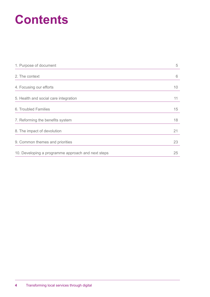### **Contents**

| 1. Purpose of document                             | 5  |
|----------------------------------------------------|----|
| 2. The context                                     | 6  |
| 4. Focusing our efforts                            | 10 |
| 5. Health and social care integration              | 11 |
| 6. Troubled Families                               | 15 |
| 7. Reforming the benefits system                   | 18 |
| 8. The impact of devolution                        | 21 |
| 9. Common themes and priorities                    | 23 |
| 10. Developing a programme approach and next steps | 25 |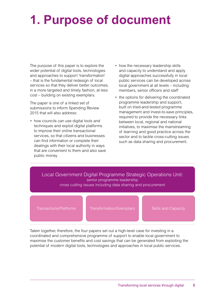### **1. Purpose of document**

The purpose of this paper is to explore the wider potential of digital tools, technologies and approaches to support 'transformation' – that is the fundamental redesign of local services so that they deliver better outcomes, in a more targeted and timely fashion, at less cost – building on existing exemplars.

The paper is one of a linked set of submissions to inform Spending Review 2015 that will also address:

- how councils can use digital tools and techniques and exploit digital platforms to improve their online transactional services, so that citizens and businesses can find information or complete their dealings with their local authority in ways that are convenient to them and also save public money
- how the necessary leadership skills and capacity to understand and apply digital approaches successfully in local public services can be developed across local government at all levels – including members, senior officers and staff
- the options for delivering the coordinated programme leadership and support, built on tried-and-tested programme management and invest-to-save principles, required to provide the necessary links between local, regional and national initiatives, to maximise the mainstreaming of learning and good practice across the sector and to tackle cross-cutting issues such as data sharing and procurement.

#### Local Government Digital Programme Strategic Operations Unit: senior programme leadership cross cutting issues including data sharing and procurement

Transactions/Platforms Transformation/Exemplars Skills and Capacity

Taken together, therefore, the four papers set out a high-level case for investing in a coordinated and comprehensive programme of support to enable local government to maximise the customer benefits and cost savings that can be generated from exploiting the potential of modern digital tools, technologies and approaches in local public services.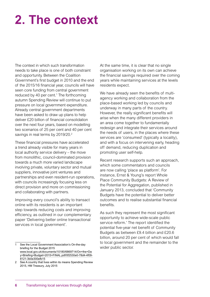# **2. The context**

The context in which such transformation needs to take place is one of both constraint and opportunity. Between the Coalition Government's first budget in 2010 and the end of the 2015/16 financial year, councils will have seen core funding from central government reduced by 40 per cent.<sup>1</sup> The forthcoming autumn Spending Review will continue to put pressure on local government expenditure. Already central government departments have been asked to draw up plans to help deliver £20 billion of financial consolidation over the next four years, based on modelling two scenarios of 25 per cent and 40 per cent savings in real terms by 2019/20.<sup>2</sup>

These financial pressures have accelerated a trend already visible for many years in local authority service delivery – the move from monolithic, council-dominated provision towards a much more varied landscape involving private, voluntary sector and mutual suppliers, innovative joint ventures and partnerships and even resident-run operations, with councils increasingly focusing less on direct provision and more on commissioning and collaborating with partners.

Improving every council's ability to transact online with its residents is an important step towards reducing costs and improving efficiency, as outlined in our complementary paper 'Delivering better online transactional services in local government'.

At the same time, it is clear that no single organisation working on its own can achieve the financial savings required over the coming years while maintaining services at the levels residents expect.

We have already seen the benefits of multiagency working and collaboration from the place-based working led by councils and underway in many parts of the country. However, the really significant benefits will arise when the many different providers in an area come together to fundamentally redesign and integrate their services around the needs of users, in the places where these services are 'consumed' (typically a locality), and with a focus on intervening early, heading off demand, reducing duplication and promoting user self-help.

Recent research supports such an approach, which some commentators and councils are now calling 'place as platform'. For instance, Ernst & Young's report Whole Place Community Budgets: A Review of the Potential for Aggregation, published in January 2013, concluded that 'Community Budgets have the potential to deliver better outcomes and to realise substantial financial benefits.

As such they represent the most significant opportunity to achieve wide-scale public service reform.' The report identified the potential five-year net benefit of Community Budgets as between £9.4 billion and £20.6 billion, around 20 per cent of which would fall to local government and the remainder to the wider public sector.

See the Local Government Association's On-the-day briefing for the Budget 2015 [www.local.gov.uk/documents/10180/6869714/On+the+Da](http://www.local.gov.uk/documents/10180/6869714/On+the+Day+Briefing+Budget+2015+FINAL.pdf/0f2530e0-78d4-4f09-8121-3b0e300efb15) [y+Briefing+Budget+2015+FINAL.pdf/0f2530e0-78d4-4f09-](http://www.local.gov.uk/documents/10180/6869714/On+the+Day+Briefing+Budget+2015+FINAL.pdf/0f2530e0-78d4-4f09-8121-3b0e300efb15) [8121-3b0e300efb15](http://www.local.gov.uk/documents/10180/6869714/On+the+Day+Briefing+Budget+2015+FINAL.pdf/0f2530e0-78d4-4f09-8121-3b0e300efb15)

<sup>2</sup> See A country that lives within its means Spending Review 2015, HM Treasury, July 2015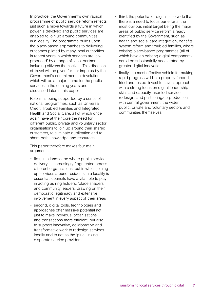In practice, the Government's own radical programme of public service reform reflects just such a move towards a future in which power is devolved and public services are enabled to join up around communities in a locality. The programme builds upon the place-based approaches to delivering outcomes piloted by many local authorities in recent years in which services are 'coproduced' by a range of local partners, including citizens themselves. This direction of travel will be given further impetus by the Government's commitment to devolution, which will be a major theme for the public services in the coming years and is discussed later in this paper.

Reform is being supported by a series of national programmes, such as Universal Credit, Troubled Families and Integrated Health and Social Care, all of which once again have at their core the need for different public, private and voluntary sector organisations to join up around their shared customers, to eliminate duplication and to share both knowledge and resources.

This paper therefore makes four main arguments:

- first, in a landscape where public service delivery is increasingly fragmented across different organisations, but in which joining up services around residents in a locality is essential, councils have a vital role to play in acting as ring holders, 'place shapers' and community leaders, drawing on their democratic legitimacy and extensive involvement in every aspect of their areas
- second, digital tools, technologies and approaches offer massive potential not just to make individual organisations and transactions more efficient, but also to support innovative, collaborative and transformative work to redesign services locally and to act as the 'glue' linking disparate service providers
- third, the potential of digital is so wide that there is a need to focus our efforts, the most obvious initial target being the major areas of public service reform already identified by the Government, such as health and social care integration, benefits system reform and troubled families, where existing place-based programmes (all of which have an existing digital component) could be substantially accelerated by greater digital innovation
- finally, the most effective vehicle for making rapid progress will be a properly funded, tried and tested 'invest to save' approach with a strong focus on digital leadership skills and capacity, user-led service redesign, and partnering/co-production with central government, the wider public, private and voluntary sectors and communities themselves.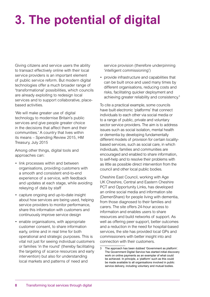# **3. The potential of digital**

Giving citizens and service users the ability to transact effectively online with their local service providers is an important element of public service reform. But modern digital technologies offer a much broader range of 'transformational' possibilities, which councils are already exploiting to redesign local services and to support collaborative, placebased activities.

'We will make greater use of digital technology to modernise Britain's public services and give people greater choice in the decisions that affect them and their communities.' A country that lives within its means – Spending Review 2015, HM Treasury, July 2015

Among other things, digital tools and approaches can:

- link processes within and between organisations, providing customers with a smooth and consistent end-to-end experience of a service, with feedback and updates at each stage, while avoiding rekeying of data by staff
- capture ongoing and up-to-date insight about how services are being used, helping service providers to monitor performance, share this information with customers and continuously improve service design
- enable organisations, with appropriate customer consent, to share information early, online and in real time for both operational and strategic purposes. This is vital not just for seeing individual customers or families 'in the round' (thereby facilitating the targeting of scarce resources and early intervention) but also for understanding local markets and patterns of need and

service provision (therefore underpinning 'intelligent commissioning')

• provide infrastructure and capabilities that can be built once and used many times by different organisations, reducing costs and risks, facilitating quicker deployment and achieving greater reliability and consistency.3

To cite a practical example, some councils have built electronic 'platforms' that connect individuals to each other via social media or to a range of public, private and voluntary sector service providers. The aim is to address issues such as social isolation, mental health or dementia by developing fundamentally different models of provision for certain localitybased services, such as social care, in which individuals, families and communities are encouraged and enabled to share information, to self-help and to resolve their problems with as little as possible direct intervention from the council and other local public bodies.

Cheshire East Council, working with Age UK Cheshire, Central and Eastern Cheshire PCT and Opportunity Links, has developed an online social media and information site (DemenShare) for people living with dementia, from those diagnosed to their families and carers. The site offers 24-hour access to information and enables users to share resources and build networks of support. As well as offering peer support, better outcomes and a reduction in the need for hospital-based services, the site has provided local GPs and commissioners with better insight into and connection with their customers.

<sup>3</sup> The approach has been dubbed 'Government as platform'. The Government Digital Service has started initial discovery work on online payments as an exemplar of what could be achieved. In principle, a 'platform' such as this could be made available to all organisations involved in public service delivery, including voluntary and mutual bodies.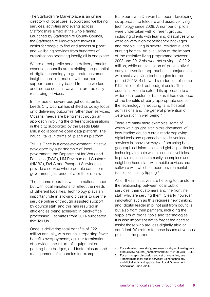The Staffordshire Marketplace is an online directory of local care, support and wellbeing services, activities and events across Staffordshire aimed at the whole family. Launched by Staffordshire County Council, the Staffordshire Marketplace makes it easier for people to find and access support and wellbeing services from hundreds of organisations operating locally, all in one place.

Where direct public service delivery remains essential, councils are exploiting the potential of digital technology to generate customer insight, share information with partners, support community-based frontline workers and reduce costs in ways that are radically reshaping services.

In the face of severe budget constraints, Leeds City Council has shifted its policy focus onto delivering outcomes rather than services. Citizens' needs are being met through an approach involving the different organisations in the city, supported by the Leeds Data Mill, a collaborative open data platform. The council talks in terms of 'place as platform'.

Tell Us Once is a cross-government initiative developed by a partnership of local government, the Department for Work and Pensions (DWP), HM Revenue and Customs (HMRC), DVLA and Passport Services to provide a service where people can inform government just once of a birth or death.

The scheme operates within a national model but with local variations to reflect the needs of different localities. Technology plays an important role in allowing citizens to use the service online or through assisted support by council staff and this has resulted in efficiencies being achieved in back-office processing. Estimates from 2014 suggested that Tell Us

Once is delivering total benefits of £22 million annually, with councils reporting fewer benefits overpayments, quicker termination of services and return of equipment or parking blue badges, and faster closure and reassignment of tenancies for example.

Blackburn with Darwen has been developing its approach to telecare and assistive living technology since 2008. A number of pilots were undertaken with different groups, including clients with learning disabilities who were on very high dependency packages and people living in several residential and nursing homes. An evaluation of the impact of the assistive living programme between 2008 and 2012 showed net savings of £2.2 million, while an evaluation of preventative/ early intervention approaches in conjunction with assistive living technologies for the period 2013/14 showed a reduction of some £1.2 million of direct budget costs. The council is keen to extend its approach to a wider local customer base as it has evidence of the benefits of early, appropriate use of the technology in reducing falls, hospital admissions and the general prevention of deterioration in well being.<sup>4</sup>

There are many more examples, some of which we highlight later in this document, of how leading councils are already deploying digital tools and approaches to deliver local services in innovative ways – from using better geographical information and global positioning technology to route waste collection vehicles to providing local community champions and neighbourhood staff with mobile devices and software with which to report environmental issues such as fly tipping.<sup>5</sup>

All of these initiatives are helping to transform the relationship between local public services, their customers and the frontline staff who are serving them. Clearly, however, innovation such as this requires new thinking and 'digital leadership' not just from councils, but also from their partners, including the suppliers of digital tools and technologies. It is also important not to forget the need to assist those who are less digitally able or confident. We return to these issues at various points in the paper.

<sup>4</sup> For a detailed case study, see [www.local.gov.uk/web/guest/](http://www.local.gov.uk/web/guest/productivity/-/journal_content/56/10180/7161900/ARTICLE) [productivity/-/journal\\_content/56/10180/7161900/ARTICLE](http://www.local.gov.uk/web/guest/productivity/-/journal_content/56/10180/7161900/ARTICLE)

<sup>5</sup> For an in-depth discussion and set of examples, see Transforming local public services: using technology and digital tools and approaches, Local Government Association, June 2014.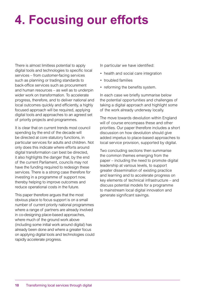# **4. Focusing our efforts**

There is almost limitless potential to apply digital tools and technologies to specific local services – from customer-facing services such as planning or trading standards to back-office services such as procurement and human resources – as well as to underpin wider work on transformation. To accelerate progress, therefore, and to deliver national and local outcomes quickly and efficiently, a highly focused approach will be required, applying digital tools and approaches to an agreed set of priority projects and programmes.

It is clear that on current trends most council spending by the end of the decade will be directed at core statutory functions, in particular services for adults and children. Not only does this indicate where efforts around digital transformation can best be directed, it also highlights the danger that, by the end of the current Parliament, councils may not have the funding required to redesign these services. There is a strong case therefore for investing in a programme of support now, thereby helping to improve outcomes and reduce operational costs in the future.

This paper therefore argues that the most obvious place to focus support is on a small number of current priority national programmes where a range of partners are already involved in co-designing place-based approaches, where much of the ground work above (including some initial work around digital) has already been done and where a greater focus on applying digital tools and technologies could rapidly accelerate progress.

In particular we have identified:

- health and social care integration
- troubled families
- reforming the benefits system.

In each case we briefly summarise below the potential opportunities and challenges of taking a digital approach and highlight some of the work already underway locally.

The move towards devolution within England will of course encompass these and other priorities. Our paper therefore includes a short discussion on how devolution should give added impetus to place-based approaches to local service provision, supported by digital.

Two concluding sections then summarise the common themes emerging from the paper – including the need to promote digital leadership at various levels, to support greater dissemination of existing practice and learning and to accelerate progress on key elements of technical infrastructure – and discuss potential models for a programme to mainstream local digital innovation and generate significant savings.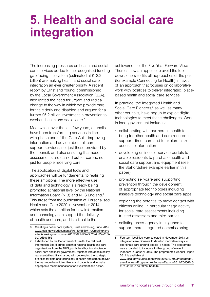### **5. Health and social care integration**

The increasing pressures on health and social care services added to the recognised funding gap facing the system (estimated at £12.3 billion) are making health and social care integration an ever greater priority. A recent report by Ernst and Young, commissioned by the Local Government Association (LGA), highlighted the need for urgent and radical change to the way in which we provide care for the elderly and disabled and argued for a further £5.2 billion investment in prevention to overhaul health and social care.<sup>6</sup>

Meanwhile, over the last few years, councils have been transforming services in line with phase one of the Care Act – improving information and advice about all care support services, not just those provided by the council, and also ensuring that needs assessments are carried out for carers, not just for people receiving care.

The application of digital tools and approaches will be fundamental to realising these ambitions. The more effective use of data and technology is already being promoted at national level by the National Information Board (NIB) and NHS England.7 This arose from the publication of Personalised Health and Care 2020 in November 2014, which sets the ambition for how information and technology can support the delivery of health and care, and is critical to the

achievement of the Five Year Forward View. There is now an appetite to avoid the topdown, one-size-fits-all approaches of the past (for example Connecting for Health) in favour of an approach that focuses on collaborative work with localities to deliver integrated, placebased health and social care services.

In practice, the Integrated Health and Social Care Pioneers,<sup>8</sup> as well as many other councils, have begun to exploit digital technologies to meet these challenges. Work in local government includes:

- collaborating with partners in health to bring together health and care records to support direct care and to explore citizen access to information
- developing online self-service portals to enable residents to purchase health and social care support and equipment (see the Staffordshire example earlier in this paper)
- promoting self-care and supporting prevention through the development of appropriate technologies including assistive technology and social care apps
- exploring the potential to move contact with citizens online, in particular triage activity for social care assessments including trusted assessors and third parties
- collating cross-agency intelligence to support more integrated commissioning.

<sup>6</sup> Creating a better care system, Ernst and Young, June 2015 [www.local.gov.uk/documents/10180/6869714/Creating+a+b](http://www.local.gov.uk/documents/10180/6869714/Creating+a+better+care+system+June+2015/0692d75a-5c26-4b85-a2b5-9e7dd59b455) [etter+care+system+June+2015/0692d75a-5c26-4b85-a2b5-](http://www.local.gov.uk/documents/10180/6869714/Creating+a+better+care+system+June+2015/0692d75a-5c26-4b85-a2b5-9e7dd59b455) [9e7dd59b455](http://www.local.gov.uk/documents/10180/6869714/Creating+a+better+care+system+June+2015/0692d75a-5c26-4b85-a2b5-9e7dd59b455)

<sup>7</sup> Established by the Department of Health, the National Information Board brings together national health and care organisations from the NHS, public health, clinical science, social care and local government, together with appointed lay representatives. It is charged with developing the strategic priorities for data and technology in health and care to deliver the maximum benefit to citizens and patients and to make appropriate recommendations for investment and action.

<sup>8</sup> Fourteen localities were selected in November 2013 as integrated care pioneers to develop innovative ways to coordinate care around people s needs. The programme was expanded to include a further group of wave 2 Pioneers in January 2015. The programme's Annual Report 2014 is available at [www.local.gov.uk/documents/10180/6927502/Integrated+C](http://www.local.gov.uk/documents/10180/6927502/Integrated+Care+Pioneer+Programme+Annual+Report+2014/76d562c3-4f7d-4169-91bc-69f7a9be481c) [are+Pioneer+Programme+Annual+Report+2014/76d562c3-](http://www.local.gov.uk/documents/10180/6927502/Integrated+Care+Pioneer+Programme+Annual+Report+2014/76d562c3-4f7d-4169-91bc-69f7a9be481c) [4f7d-4169-91bc-69f7a9be481c](http://www.local.gov.uk/documents/10180/6927502/Integrated+Care+Pioneer+Programme+Annual+Report+2014/76d562c3-4f7d-4169-91bc-69f7a9be481c)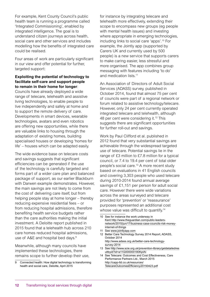For example, Kent County Council's public health team is running a programme called 'Integrated Commissioning', enabled by integrated intelligence. The goal is to understand citizen journeys across health, social care and other services and includes modelling how the benefits of integrated care could be realised.

Four areas of work are particularly significant in our view and offer potential for further, targeted support:

#### **Exploiting the potential of technology to facilitate self-care and support people to remain in their home for longer**:

Councils have already deployed a wide range of telecare, telehealth and assistive living technologies, to enable people to live independently and safely at home and to support the remote delivery of care. Developments in smart devices, wearable technologies, avatars and even robotics are offering new opportunities, while there are valuable links to housing through the adaptation of existing homes, building specialised houses or developing 'homes for life' – houses which can be adapted easily.

The wide evidence base on telecare costs and savings suggests that significant efficiencies can be generated if the use of the technology is carefully targeted and forms part of a wider care plan and balanced package of support, as our earlier Blackburn with Darwen example demonstrates. However, the main savings are not likely to come from the cost of delivering care itself, but from helping people stay at home longer – thereby reducing expensive residential fees – or from reducing hospital admissions, therefore benefiting health service budgets rather than the care authorities making the initial investment. A Deloitte report published in 2015 found that a telehealth hub across 210 care homes reduced hospital admissions, use of A&E and hospital bed days.<sup>9</sup>

Meanwhile, although many councils have implemented these technologies, there remains scope to further develop their use, for instance by integrating telecare and telehealth more effectively, extending their scope to encompass new groups (eg people with mental health issues) and investing where appropriate in emerging technologies, including links to social care 'apps'.10 For example, the Jointly app (supported by Carers UK and currently used by 500 people) is a new service that supports carers to make caring easier, less stressful and more organised. The app combines group messaging with features including 'to do' and medication lists.<sup>11</sup>

An Association of Directors of Adult Social Services (ADASS) survey, published in October 2014, found that almost 75 per cent of councils were part of a regional network or forum related to assistive technology/telecare. However, only 24 per cent currently operated integrated telecare and telehealth, although 48 per cent were considering it.<sup>12</sup> This suggests there are significant opportunities for further roll-out and savings.

Work by Paul Clifford et al. published in 2012 found that very substantial savings are achievable through the widespread targeted use of telecare. Potential savings lie in the range of £3 million to £7.8 million for a typical council, or 7.4 to 19.4 per cent of total older people's social care.13 A more recent study based on evaluations in 41 English councils and covering 3,303 people who used telecare during 2010-2014 found annual average savings of £1,151 per person for adult social care. However there were wide variations across the areas surveyed and telecare provided for 'prevention' or 'reassurance' purposes represented an additional cost whose value was difficult to quantify.<sup>14</sup>

- 11 See [www.jointlyapp.com](http://www.jointlyapp.com)
- 12 Better Care Technology Survey 2014 Report, ADASS, October 2014 [http://www.adass.org.uk/better-care-technology-](http://www.adass.org.uk/better-care-technology-survey-2014)
- [survey-2014](http://www.adass.org.uk/better-care-technology-survey-2014) 13 See [http://www.scie.org.uk/prevention-library/getdetailedres](http://www.scie.org.uk/prevention-library/getdetailedresultbyid?id=a11G000000180KpIAI)
- [ultbyid?id=a11G000000180KpIAI](http://www.scie.org.uk/prevention-library/getdetailedresultbyid?id=a11G000000180KpIAI) 14 See Telecare: Outcomes and Cost Effectiveness, Care Performance Partners Ltd., March 2015 [http://capp-ltd.co.uk/resources/](http://capp-ltd.co.uk/resources/TelecareOutcomesEfficiency20150423.pdf) [TelecareOutcomesEfficiency20150423.pdf](http://capp-ltd.co.uk/resources/TelecareOutcomesEfficiency20150423.pdf)

<sup>9</sup> Connected health: How digital technology is transforming health and social care, Deloitte, April 2015

<sup>10</sup> See for instance the work underway in [Kent http://www.theguardian.com/public-leaders](Kent http://www.theguardian.com/public-leaders-network/2015/jun/17/business-case-councils-risk-money-internet-of-things)[network/2015/jun/17/business-case-councils-risk-money](Kent http://www.theguardian.com/public-leaders-network/2015/jun/17/business-case-councils-risk-money-internet-of-things)[internet-of-things](Kent http://www.theguardian.com/public-leaders-network/2015/jun/17/business-case-councils-risk-money-internet-of-things)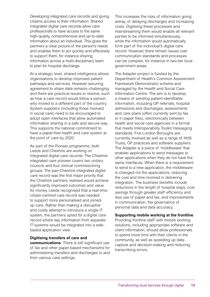Developing integrated care records and giving citizens access to their information: Shared integrated digital care records allow care professionals to have access to the same high-quality, comprehensive and up-to-date information about an individual. This gives the partners a clear picture of the person's needs and enables them to act quickly and effectively to support them, for instance sharing information across a multi-disciplinary team to plan for hospital discharge.

At a strategic level, shared intelligence allows organisations to develop improved patient pathways and services. However securing agreement to share data remains challenging and there are practical issues to resolve, such as how a care record would follow a person who moved to a different part of the country. System suppliers (including those involved in social care) need to be encouraged to adopt open interfaces that allow automated information sharing in a safe and secure way. This supports the national commitment to have a paper-free health and care system at the point of care by 2020.

As part of the Pioneer programme, both Leeds and Cheshire are working on integrated digital care records. The Cheshire integrated care pioneer covers two unitary councils and four clinical commissioning groups. The pan-Cheshire integrated digital care record was the first major priority that the Cheshire partners realised would achieve significantly improved outcomes and value for money. Leeds recognised that a real-time, citizen-centred care record was needed to support more personalised and joinedup care. Rather than making a disruptive and costly attempt to introduce a single IT system, the partners opted for a digital care record where key information from separate IT systems would be integrated into a webbased application view.

#### **Digitising transfers of care and**

**communications**: There is still significant use of fax and other paper-based mechanisms for administering transfers and discharges to and from various care settings.

This increases the risks of information going astray, of delaying discharges and increasing costs. Digitising these processes and mainstreaming them would enable all relevant parties to be informed simultaneously, while the information would automatically form part of the individual's digital care record. However, there remain issues over communication standards and processes can be complex, for instance in two-tier local government areas.

The Adapter project is funded by the Department of Health's Common Assessment Framework Demonstrator scheme and managed by the Health and Social Care Information Centre. The aim is to develop a means of sending patient-identifiable information, including GP referrals, hospital admissions and discharges, assessments and care plans (often currently sent by fax or in paper files), electronically between health and social care agencies in a format that meets Interoperability Toolkit messaging standards. Five London Boroughs are currently involved as well as a range of NHS Trusts, GP practices and software suppliers. The Adapter is a piece of 'middleware' that enables applications to send messages to other applications when they do not have the same interfaces. When there is a requirement to send to a new application, the middleware is changed not the applications, reducing the cost and time involved in delivering integration. The business benefits include reductions in the length of hospital stays, cost savings through greater staff efficiency and less use of paper and fax, and improvements in communication, the governance of personal data and data accuracy.

#### **Supporting mobile working at the frontline**:

Providing frontline staff with mobile working solutions, including appropriate software and client information, should allow professionals to spend more time with their clients in the community, as well as speeding up data capture and decision-making and reducing transcribing errors.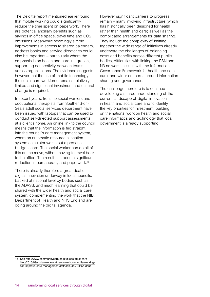The Deloitte report mentioned earlier found that mobile working could significantly reduce the time spent on paperwork. There are potential ancillary benefits such as savings in office space, travel time and CO2 emissions. Meanwhile seemingly simple improvements in access to shared calendars, address books and service directories could also be important – particularly where the emphasis is on health and care integration, supporting connectivity between teams across organisations. The evidence suggests however that the use of mobile technology in the social care workforce remains relatively limited and significant investment and cultural change is required.

In recent years, frontline social workers and occupational therapists from Southend-on-Sea's adult social services department have been issued with laptops that can be used to conduct self-directed support assessments at a client's home. An online link to the council means that the information is fed straight into the council's care management system, where an automatic resource allocation system calculator works out a personal budget score. The social worker can do all of this on the move, without having to travel back to the office. The result has been a significant reduction in bureaucracy and paperwork.15

There is already therefore a great deal of digital innovation underway in local councils, backed at national level by bodies such as the ADASS, and much learning that could be shared with the wider health and social care system, complementing the work that the NIB, Department of Health and NHS England are doing around the digital agenda.

However significant barriers to progress remain – many involving infrastructure (which has historically been designed for health rather than health and care) as well as the complicated arrangements for data sharing. They include the complexity of knitting together the wide range of initiatives already underway, the challenges of balancing costs and benefits across different public bodies, difficulties with linking the PSN and N3 networks, issues with the Information Governance Framework for health and social care, and wider concerns around information sharing and governance.

The challenge therefore is to continue developing a shared understanding of the current landscape of digital innovation in health and social care and to identify the key priorities for investment, building on the national work on health and social care informatics and technology that local government is already supporting.

<sup>15</sup> See [http://www.communitycare.co.uk/blogs/adult-care](http://www.communitycare.co.uk/blogs/adult-care-blog/2013/09/social-work-on-the-move-how-mobile-working-can-improve-care-management/#sthash.QaVNiPXq.dpuf)[blog/2013/09/social-work-on-the-move-how-mobile-working](http://www.communitycare.co.uk/blogs/adult-care-blog/2013/09/social-work-on-the-move-how-mobile-working-can-improve-care-management/#sthash.QaVNiPXq.dpuf)[can-improve-care-management/#sthash.QaVNiPXq.dpuf](http://www.communitycare.co.uk/blogs/adult-care-blog/2013/09/social-work-on-the-move-how-mobile-working-can-improve-care-management/#sthash.QaVNiPXq.dpuf)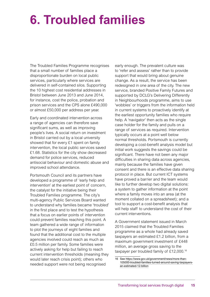### **6. Troubled families**

The Troubled Families Programme recognises that a small number of families place a disproportionate burden on local public services, particularly where services are delivered in self-contained silos. Supporting the 10 highest cost residential addresses in Bristol between June 2013 and June 2014, for instance, cost the police, probation and prison services and the CPS alone £490,000 or almost £50,000 per address per year.

Early and coordinated intervention across a range of agencies can therefore save significant sums, as well as improving people's lives. A social return on investment in Bristol carried out by a local university showed that for every £1 spent on family intervention, the local public services saved £1.68. Statistics for the city show decreased demand for police services, reduced antisocial behaviour and domestic abuse and improved school attendance.

Portsmouth Council and its partners have developed a programme of 'early help and intervention' at the earliest point of concern, the catalyst for the initiative being their Troubled Families programme. The city's multi-agency Public Services Board wanted to understand why families became 'troubled' in the first place and to test the hypothesis that a focus on earlier points of intervention could prevent families reaching this point. A team gathered a wide range of information to plot the journeys of eight families and found that the additional cost to the multiple agencies involved could reach as much as £0.5 million per family. Some families were actively asking for help but failing to reach current intervention thresholds (meaning they would later reach crisis point); others who needed support were not being recognised

early enough. The prevalent culture was to 'refer and assess' rather than to provide support that would bring about genuine change. As a result, the service has been redesigned in one area of the city. The new service, branded Positive Family Futures and supported by DCLG's Delivering Differently in Neighbourhoods programme, aims to use 'wobbles' or triggers from the information held in current systems to proactively identify at the earliest opportunity families who require help. A 'navigator' then acts as the single case holder for the family and pulls on a range of services as required. Intervention typically occurs at a point well below normal thresholds. Portsmouth is currently developing a cost-benefit analysis model but initial work suggests the savings could be significant. There have not been any major difficulties in sharing data across agencies, mainly because the families have given consent and there is an effective data sharing protocol in place. But current ICT systems have proved a barrier and the team would like to further develop two digital solutions: a system to gather information at the point where a family moves into an area (at the moment collated on a spreadsheet); and a tool to support a cost-benefit analysis that will help staff to understand the cost of their current interventions.

A Government statement issued in March 2015 claimed that the Troubled Families programme as a whole had already saved taxpayers an estimated £1.2 billion, from a maximum government investment of £448 million, an average gross saving to the taxpayer per troubled family of £12,000.16

<sup>16</sup> See [https://www.gov.uk/government/news/more-than-](https://www.gov.uk/government/news/more-than-105000-troubled-families-turned-around-saving-taxpayers-an-estimated-12-billion)[105000-troubled-families-turned-around-saving-taxpayers](https://www.gov.uk/government/news/more-than-105000-troubled-families-turned-around-saving-taxpayers-an-estimated-12-billion)[an-estimated-12-billion](https://www.gov.uk/government/news/more-than-105000-troubled-families-turned-around-saving-taxpayers-an-estimated-12-billion)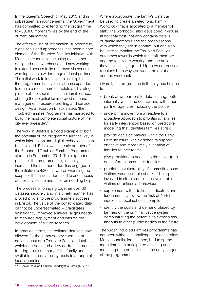In the Queen's Speech of May 2015 and in subsequent announcements, the Government has committed to extending the programme to 400,000 more families by the end of the current parliament.

The effective use of information, supported by digital tools and approaches, has been a core element of the Troubled Families initiative, with Manchester for instance using a customerdesigned data warehouse and now working to extend access to its database via secure web log-ins to a wider range of local partners. The initial work to identify families eligible for the programme has typically been expanded to create a much more complete and strategic picture of the social issues that families face, offering the potential for improved demand management, resource profiling and service design. As a report on Bristol stated, 'the Troubled Families Programme has managed to build the most complete social picture of the city ever available'.17

The work in Bristol is a good example of both the potential of the programme and the way in which information and digital technologies can be exploited. Bristol was an early adopter of the Expanded Troubled Families Programme, starting in September 2014. This expanded phase of the programme significantly increased the number of families engaged in the initiative to 4,200 as well as widening the scope of the issues addressed to encompass domestic violence and children needing help.

The process of bringing together over 30 datasets securely and in a timely manner has proved pivotal to the programme's success in Bristol. The value of the consolidated data cannot be underestimated – it facilitates significantly improved analysis, aligns needs to resource deployment and informs the development of future services.

In practical terms, the collated datasets have allowed for the in-house development at notional cost of a Troubled Families database, which can be searched by address or name to bring up a summary of the family and is available on a day-to-day basis to a range of local agencies.

17 Bristol Troubled Families Hindsight to Foresight, 2015.

Where appropriate, the family's data can be used to create an electronic Family Workbook that is allocated to a member of staff. The workbook (also developed in-house at notional cost) not only contains details of family members and the organisations with which they are in contact, but can also be used to monitor the Troubled Families outcomes towards which the staff member and the family are working and the actions they have jointly agreed. Updates are passed regularly both ways between the database and the workbook.

Overall, the programme in the city has helped to:

- break down barriers to data sharing, both internally within the council and with other partner agencies including the police
- underpin a move from a reactive to a proactive approach to prioritising families for early intervention based on predictive modelling that identifies families at risk
- provide decision makers within the Early Help structure with evidence to support effective and more timely allocation of families to their teams
- give practitioners access to the most up-todate information on their families
- predict the vulnerability of domestic abuse victims, young people at risk of being involved in street conflict and vulnerable victims of antisocial behaviour
- supplement with additional indicators and fundamentally review the 'risk of NEET index' that local schools compile
- identify the costs and demand placed by families on the criminal justice system, demonstrating the potential to expand this analysis to other public bodies in the future.

The wider Troubled Families programme has not been without its challenges or constraints. Many councils, for instance, had to spend more time than anticipated collating and matching data on families in the early stages of the programme.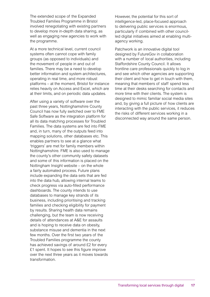The extended scope of the Expanded Troubled Families Programme in Bristol involved renegotiating with existing partners to develop more in-depth data sharing, as well as engaging new agencies to work with the programme.

At a more technical level, current council systems often cannot cope with family groups (as opposed to individuals) and the movement of people in and out of families. There may be a need to develop better information and system architectures, operating in real time, and more robust platforms – at the moment, Bristol for instance relies heavily on Access and Excel, which are at their limits, and on periodic data updates.

After using a variety of software over the past three years, Nottinghamshire County Council has now fully switched over to FME Safe Software as the integration platform for all its data matching processes for Troubled Families. The data systems are fed into FME and, in turn, many of the outputs feed into mapping solutions, other databases etc. This enables partners to see at a glance what 'triggers' are met for family members within Nottinghamshire. FME is also used to manage the county's other community safety datasets and some of this information is placed on the Nottingham Insight website – on the whole a fairly automated process. Future plans include expanding the data sets that are fed into the data hub, allowing internal teams to check progress via auto-filled performance dashboards. The county intends to use databases to manage key strands of its business, including prioritising and tracking families and checking eligibility for payment by results. Sharing health data remains challenging, but the team is now receiving details of attendances at A&E for assaults and is hoping to receive data on obesity, substance misuse and dementia in the next few months. Over the first two years of the Troubled Families programme the county has achieved savings of around £2 for every £1 spent. It hopes to see this figure improve over the next three years as it moves towards transformation.

However, the potential for this sort of intelligence-led, place-focused approach to delivering public services is enormous, particularly if combined with other councilled digital initiatives aimed at enabling multiagency working.

Patchwork is an innovative digital tool designed by FutureGov in collaboration with a number of local authorities, including Staffordshire County Council. It allows frontline care professionals quickly to log in and see which other agencies are supporting their client and how to get in touch with them, meaning that members of staff spend less time at their desks searching for contacts and more time with their clients. The system is designed to mimic familiar social media sites and, by giving a full picture of how clients are interacting with the public services, it reduces the risks of different services working in a disconnected way around the same person.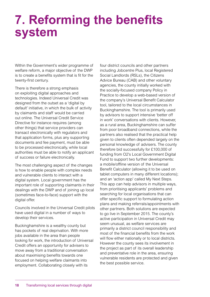### **7. Reforming the benefits system**

Within the Government's wider programme of welfare reform, a major objective of the DWP is to create a benefits system that is fit for the twenty-first century.

There is therefore a strong emphasis on exploiting digital approaches and technologies. Indeed Universal Credit was designed from the outset as a 'digital by default' initiative, in which the bulk of activity by claimants and staff would be carried out online. The Universal Credit Service Directive for instance requires (among other things) that service providers can transact electronically with regulators and that application forms, plus any supporting documents and fee payment, must be able to be processed electronically, while local authorities must be able to notify an applicant of success or failure electronically.

The most challenging aspect of the changes is how to enable people with complex needs and vulnerable clients to interact with a digital system. Local government has the important role of supporting claimants in their dealings with the DWP and of joining up local (sometimes face-to-face) support with the digital offer.

Councils involved in the Universal Credit pilots have used digital in a number of ways to develop their services.

Buckinghamshire is a wealthy county but has pockets of real deprivation. With more jobs available in the area than people looking for work, the introduction of Universal Credit offers an opportunity for advisers to move away from a traditional conversation about maximising benefits towards one focused on helping welfare claimants into employment. Collaborating closely with its

four district councils and other partners including Jobcentre Plus, local Registered Social Landlords (RSLs), the Citizens Advice Bureau (CAB) and other voluntary agencies, the county initially worked with the socially-focused company Policy in Practice to develop a web-based version of the company's Universal Benefit Calculator tool, tailored to the local circumstances in Buckinghamshire. The tool is primarily used by advisors to support intensive 'better off in work' conversations with clients. However, as a rural area, Buckinghamshire can suffer from poor broadband connections, while the partners also realised that the practical help given to clients often depended largely on the personal knowledge of advisers. The county therefore bid successfully for £100,000 of funding from O2's Local Government Digital Fund to support two further developments: a mobile/offline version of the Universal Benefit Calculator (allowing it to be used on tablet computers in many different locations); and an 'action app' called My Next Steps. This app can help advisors in multiple ways, from prioritising applicants' problems and searching for local organisations that can offer specific support to formulating action plans and making referrals/appointments with other partners. Both solutions are expected to go live in September 2015. The county's active participation in Universal Credit may seem unusual, as welfare services are primarily a district council responsibility and most of the financial benefits from the work will flow either nationally or to local districts. However the county sees its involvement in the project as part of its overall leadership and preventative role in the area, ensuring vulnerable residents are protected and given the best possible service.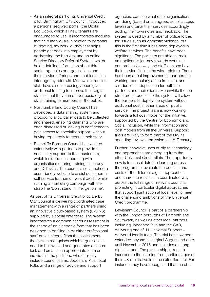- As an integral part of its Universal Credit pilot, Birmingham City Council introduced a personalised web portal (the Digital Log Book), which all new tenants are encouraged to use. It incorporates modules that help individuals in relation to personal budgeting, my work journey that helps people get back into employment by addressing the barriers, and an online Service Directory Referral System, which holds detailed information about third sector agencies or organisations and their service offerings and enables online inter-agency referrals. Meanwhile frontline staff have also increasingly been given additional training to improve their digital skills so that they can deliver basic digital skills training to members of the public.
- Northumberland County Council has developed a data sharing system and protocol to allow caller data to be collected and shared, enabling claimants who are often distressed or lacking in confidence to gain access to specialist support without having repeatedly to recount their story.
- Rushcliffe Borough Council has worked extensively with partners to provide the necessary support to their customers, which included collaborating with organisations offering training in literacy and ICT skills. The council also launched a user-friendly website to assist customers in self-service for their universal credit, while running a marketing campaign with the strap line 'Don't stand in line, get online'.

As part of its Universal Credit pilot, Derby City Council is delivering coordinated case management with a range of partners using an innovative cloud-based system (E-CINS) supplied by a social enterprise. The system incorporates a common needs assessment in the shape of an electronic form that has been designed to be filled in by either professional staff or volunteers. From the assessment, the system recognises which organisations need to be involved and generates a secure task and email to an appropriate team or individual. The partners, who currently include council teams, Jobcentre Plus, local RSLs and a range of advice and support

agencies, can see what other organisations are doing (based on an agreed set of access levels) and tailor their services accordingly, adding their own notes and feedback. The system is used by a number of police forces for issues such as domestic violence, but this is the first time it has been deployed in welfare services. The benefits have been significant. The partners are able to track an applicant's journey towards work in a comprehensive way and staff can see how their service fits into the wider picture. There has been a real improvement in partnership working, particularly at the front line, and a reduction in duplication for both the partners and their clients. Meanwhile the fee structure for access to the system will allow the partners to deploy the system without additional cost in other areas of public service. The project team is now working towards a full cost model for the initiative, supported by the Centre for Economic and Social Inclusion, while the information and cost models from all the Universal Support trials are likely to form part of the DWP's spending review submission to HM Treasury.

Further innovative uses of digital technology and approaches are emerging from the other Universal Credit pilots. The opportunity now is to consolidate the learning across the programme, evaluate the benefits and costs of the different digital approaches and share the results in a coordinated way across the full range of relevant councils, promoting in particular digital approaches that support joint action at local level to meet the challenging ambitions of the Universal Credit programme.

Lewisham Council is part of a partnership with the London boroughs of Lambeth and Southwark, as well as other local partners including Jobcentre Plus and the CAB, delivering one of 11 Universal Support – delivered locally trials. The trial has now been extended beyond its original August end date until November 2015 and includes a strong digital strand. The partnership is keen to incorporate the learning from earlier stages of their US-dl initiative into the extended trial. For instance, they have recognised that the offer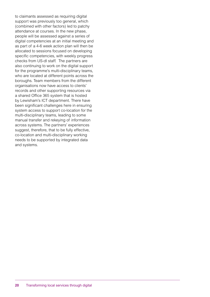to claimants assessed as requiring digital support was previously too general, which (combined with other factors) led to patchy attendance at courses. In the new phase, people will be assessed against a series of digital competencies at an initial meeting and as part of a 4-6 week action plan will then be allocated to sessions focused on developing specific competencies, with weekly progress checks from US-dl staff. The partners are also continuing to work on the digital support for the programme's multi-disciplinary teams, who are located at different points across the boroughs. Team members from the different organisations now have access to clients' records and other supporting resources via a shared Office 365 system that is hosted by Lewisham's ICT department. There have been significant challenges here in ensuring system access to support co-location for the multi-disciplinary teams, leading to some manual transfer and rekeying of information across systems. The partners' experiences suggest, therefore, that to be fully effective, co-location and multi-disciplinary working needs to be supported by integrated data and systems.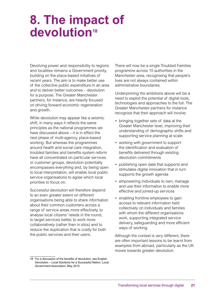### **8. The impact of**  devolution<sup>18</sup>

Devolving power and responsibility to regions and localities remains a Government priority, building on the place-based initiatives of recent years. The aim is to make better use of the collective public expenditure in an area and to deliver better outcomes – devolution for a purpose. The Greater Manchester partners, for instance, are heavily focused on driving forward economic regeneration and growth.

While devolution may appear like a seismic shift, in many ways it reflects the same principles as the national programmes we have discussed above – it is in effect the next phase of multi-agency, place-based working. But whereas the programmes around health and social care integration, troubled families and benefits system reform have all concentrated on particular services or customer groups, devolution potentially encompasses everything and, by being open to local interpretation, will enable local public service organisations to agree which local priorities to focus on.

Successful devolution will therefore depend to an even greater extent on different organisations being able to share information about their common customers across a range of service areas more effectively, to analyse local citizens' needs in the round, to target services better, to work more collaboratively (rather than in silos) and to reduce the duplication that is costly for both the public services and their users.

18 For a discussion of the benefits of devolution, see English Devolution – Local Solutions for a Successful Nation, Local Government Association, May 2015.

There will now be a single Troubled Families programme across 10 authorities in the Manchester area, recognising that people's lives are not always contained within administrative boundaries.

Underpinning the ambitions above will be a need to exploit the potential of digital tools, technologies and approaches to the full. The Greater Manchester partners for instance recognise that their approach will involve:

- bringing together sets of data at the Greater Manchester level, improving their understanding of demographic shifts and supporting service planning at scale
- working with government to support the identification and evaluation of benefits delivered through existing devolution commitments
- publishing open data that supports and stimulates digital innovation that in turn supports the growth agenda
- empowering individuals to own, manage and use their information to enable more effective and joined-up services
- enabling frontline employees to gain access to relevant information held collectively on individuals and families with whom the different organisations work, supporting integrated service delivery, safeguarding and more efficient ways of working.

Although the context is very different, there are often important lessons to be learnt from examples from abroad, particularly as the UK moves towards greater devolution.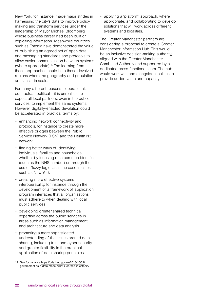New York, for instance, made major strides in harnessing the city's data to improve policy making and transform services under the leadership of Mayor Michael Bloomberg whose business career had been built on exploiting information. Meanwhile countries such as Estonia have demonstrated the value of publishing an agreed set of open data and messaging standards and protocols to allow easier communication between systems (where appropriate).19 The learning from these approaches could help those devolved regions where the geography and population are similar in scale.

For many different reasons – operational, contractual, political – it is unrealistic to expect all local partners, even in the public services, to implement the same systems. However, digitally-enabled devolution could be accelerated in practical terms by:

- enhancing network connectivity and protocols, for instance to create more effective bridges between the Public Service Network (PSN) and the Health N3 network
- finding better ways of identifying individuals, families and households, whether by focusing on a common identifier (such as the NHS number) or through the use of 'fuzzy logic' as is the case in cities such as New York
- creating more effective systems interoperability, for instance through the development of a framework of application program interfaces that all organisations must adhere to when dealing with local public services
- developing greater shared technical expertise across the public services in areas such as information management and architecture and data analysis
- promoting a more sophisticated understanding of the issues around data sharing, including trust and cyber security, and greater flexibility in the practical application of data sharing principles
- 19 See for instance [https://gds.blog.gov.uk/2013/10/31/](https://gds.blog.gov.uk/2013/10/31/government-as-a-data-model-what-i-learned-in-estonia/) [government-as-a-data-model-what-i-learned-in-estonia/](https://gds.blog.gov.uk/2013/10/31/government-as-a-data-model-what-i-learned-in-estonia/)

• applying a 'platform' approach, where appropriate, and collaborating to develop solutions that will work across different systems and localities.

The Greater Manchester partners are considering a proposal to create a Greater Manchester Information Hub. This would be an inclusive decision-making authority, aligned with the Greater Manchester Combined Authority and supported by a dedicated cross-functional team. The hub would work with and alongside localities to provide added value and capacity.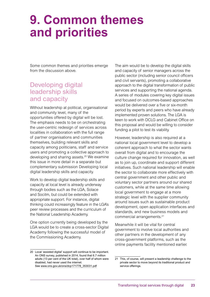### **9. Common themes and priorities**

Some common themes and priorities emerge from the discussion above.

### Developing digital leadership skills and capacity

Without leadership at political, organisational and community level, many of the opportunities offered by digital will be lost. The emphasis needs to be on orchestrating the user-centric redesign of services across localities in collaboration with the full range of partner organisations and communities themselves, building relevant skills and capacity among politicians, staff and service users and promoting a collective approach to developing and sharing assets.<sup>20</sup> We examine this issue in more detail in a separate but complementary submission Developing local digital leadership skills and capacity.

Work to develop digital leadership skills and capacity at local level is already underway through bodies such as the LGA, Solace and Socitm, but could be extended with appropriate support. For instance, digital thinking could increasingly feature in the LGA's peer review processes and the curriculum of the National Leadership Academy.

One option currently being developed by the LGA would be to create a cross-sector Digital Academy following the successful model of the Commissioning Academy.

The aim would be to develop the digital skills and capacity of senior managers across the public sector (including senior council officers and civil servants), promoting a collaborative approach to the digital transformation of public services and supporting the national agenda. A series of modules covering key digital issues and focused on outcomes-based approaches would be delivered over a five or six-month period by experts and peers who have already implemented proven solutions. The LGA is keen to work with DCLG and Cabinet Office on this proposal and would be willing to consider funding a pilot to test its viability.

However, leadership is also required at a national local government level to develop a coherent approach to what the sector wants overall from digital and to encourage the culture change required for innovation, as well as to join up, coordinate and support different initiatives. Such national leadership will enable the sector to collaborate more effectively with central government and other public and voluntary sector partners around our shared customers, while at the same time allowing local government to engage at a more strategic level with the supplier community around issues such as sustainable product development, open application interfaces and standards, and new business models and commercial arrangements.21

Meanwhile it will be vital for central government to involve local authorities and other partners in the development of any cross-government platforms, such as the online payments facility mentioned earlier.

<sup>20</sup> Local 'assisted digital' support will continue to be important. An ONS survey, published in 2014, found that 6.7 million adults (13 per cent of the UK total), over half of whom were disabled, had never used the internet. See [www.ons.gov.uk/ons/dcp171778\\_353031.pdf](http://www.ons.gov.uk/ons/dcp171778_353031.pdf)

<sup>21</sup> This, of course, will present a leadership challenge to the private sector to move beyond its traditional product and service offerings.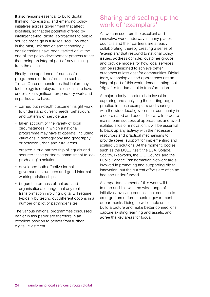It also remains essential to build digital thinking into existing and emerging policy initiatives across government that affect localities, so that the potential offered by intelligence-led, digital approaches to public service redesign is fully realised. Too often in the past, information and technology considerations have been 'tacked on' at the end of the policy development process rather than being an integral part of any thinking from the outset.

Finally, the experience of successful programmes of transformation such as Tell Us Once demonstrates that before any technology is deployed it is essential to have undertaken significant preparatory work and in particular to have:

- carried out in-depth customer insight work to understand current needs, behaviours and patterns of service use
- taken account of the variety of local circumstances in which a national programme may have to operate, including variations in demography and geography or between urban and rural areas
- created a true partnership of equals and secured these partners' commitment to 'coproducing' a solution
- developed both effective formal governance structures and good informal working relationships
- begun the process of cultural and organisational change that any real transformation involving digital will require, typically by testing out different options in a number of pilot or pathfinder sites.

The various national programmes discussed earlier in this paper are therefore in an excellent position to benefit from further digital investment.

### Sharing and scaling up the work of 'exemplars'

As we can see from the excellent and innovative work underway in many places, councils and their partners are already collaborating, thereby creating a series of 'exemplars' that respond to national policy issues, address complex customer groups and provide models for how local services can be redesigned to achieve better outcomes at less cost for communities. Digital tools, technologies and approaches are an integral part of this work, demonstrating that 'digital' is fundamental to transformation.

A major priority therefore is to invest in capturing and analysing the leading-edge practice in these exemplars and sharing it with the wider local government community in a coordinated and accessible way. In order to mainstream successful approaches and avoid isolated silos of innovation, it will be essential to back up any activity with the necessary resources and practical mechanisms to provide (peer) support for implementing and scaling up solutions. At the moment, bodies such as the DCLG itself, the LGA, Solace, Socitm, iNetworks, the CIO Council and the Public Service Transformation Network are all involved in promoting and supporting digital innovation, but the current efforts are often ad hoc and under-funded.

An important element of this work will be to map and link with the wide range of initiatives involving councils that continue to emerge from different central government departments. Doing so will enable us to build a picture and make better connections, capture existing learning and assets, and agree the key areas for focus.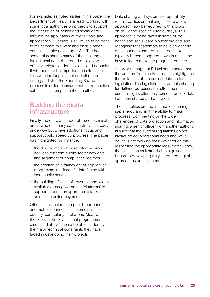For example, as noted earlier in this paper, the Department of Health is already working with some local authorities on projects to support the integration of health and social care through the application of digital tools and approaches. But there is still much to be done to mainstream this work and enable other councils to take advantage of it. The health sector also shares many of the challenges facing local councils around developing effective digital leadership skills and capacity. It will therefore be important to build closer links with the Department and others both during and after the Spending Review process in order to ensure that our respective submissions complement each other.

### Building the digital infrastructure

Finally, there are a number of more technical areas where in many cases activity is already underway but where additional focus and support could speed up progress. The paper has highlighted for instance:

- the development of more effective links between different public sector networks and alignment of compliance regimes
- the creation of a framework of application programme interfaces for interfacing with local public services
- the building of a set of reusable and widely available cross-government 'platforms' to support a common approach to tasks such as making online payments.

Other issues include the poor broadband and mobile connections in some parts of the country, particularly rural areas. Meanwhile the pilots in the key national programmes discussed above should be able to identify the major technical constraints they have faced in developing their projects.

Data sharing and system interoperability remain particular challenges. Here a new approach may be required, with a focus on delivering specific user journeys. This approach is being taken in some of the health and social care pioneer projects and recognises that attempts to develop generic data sharing standards in the past have typically become bogged down in detail and have failed to make the progress required.

A senior manager at Bristol commented that the work on Troubled Families has highlighted the limitations of the current data protection legislation. The legislation allows data sharing for defined purposes, but often the most useful insights often only come after bulk data has been shared and analysed.

The difficulties around information sharing sap energy and limit the ability to make progress. Commenting on the wider challenges of data protection and information sharing, a senior officer from another authority argued that the current regulations do not always reflect operational need and while councils are working their way through this, respecting the appropriate legal frameworks, the legislation as it stands is a significant barrier to developing truly integrated digital approaches and systems.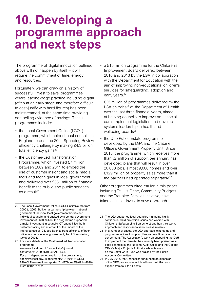### **10. Developing a programme approach and next steps**

The programme of digital innovation outlined above will not happen by itself – it will require the commitment of time, energy and resources.

Fortunately, we can draw on a history of successful 'invest to save' programmes where leading-edge practice including digital (often at an early stage and therefore difficult to cost-justify with hard figures) has been mainstreamed, at the same time providing compelling evidence of savings. These programmes include:

- the Local Government Online (LGOL) programme, which helped local councils in England to beat the 2004 Spending Review efficiency challenge by making £4.3 billion total efficiency gains $^{22}$
- the Customer-Led Transformation Programme, which invested £7 million between 2009 and 2011 to embed the use of customer insight and social media tools and techniques in local government and delivered over £331 million of financial benefit to the public and public services as a result $23$
- a £15 million programme for the Children's Improvement Board delivered between 2010 and 2013 by the LGA in collaboration with the Department for Education with the aim of improving non-educational children's services for safeguarding, adoption and early years.<sup>24</sup>
- £25 million of programmes delivered by the LGA on behalf of the Department of Health over the last three financial years, aimed at helping councils to improve adult social care, implement legislation and develop systems leadership in health and wellbeing boards<sup>25</sup>
- the One Public Estate programme developed by the LGA and the Cabinet Office's Government Property Unit. Since 2013, the programme, which receives more than £7 million of support per annum, has developed plans that will result in over 20,000 jobs, almost 9,000 homes and over £129 million of property sales more than if the partners had operated separately.<sup>26</sup>

Other programmes cited earlier in this paper, including Tell Us Once, Community Budgets and the Troubled Families initiative, have taken a similar invest to save approach.

<sup>22</sup> The Local Government Online (LGOL) initiative ran from 2000 to 2005. Built on a partnership between national government, national local government bodies and individual councils, and backed by a central government investment of £670 million, the programme supported a major investment in councils ICT capabilities, both customer-facing and internal. For the impact of the improved use of ICT, see Back to front efficiency of back office functions in local government, Audit Commission, October 2008.

<sup>23</sup> For more details of the Customer-Led Transformation programme, see [www.local.gov.uk/productivity/-/journal\\_](http://www.local.gov.uk/productivity/-/journal_content/56/10180/3510959/ARTICLE)

[content/56/10180/3510959/ARTICLE](http://www.local.gov.uk/productivity/-/journal_content/56/10180/3510959/ARTICLE) For an independent evaluation of the programme, see [www.local.gov.uk/documents/10180/11417/L13-](http://www.local.gov.uk/documents/10180/11417/L13-840+CLT+evaluation+report+V5.pdf/0bbea5f9-0914-4690-b92d-) [840+CLT+evaluation+report+V5.pdf/0bbea5f9-0914-4690](http://www.local.gov.uk/documents/10180/11417/L13-840+CLT+evaluation+report+V5.pdf/0bbea5f9-0914-4690-b92d-) [b92d-8f48a7d75d12](http://www.local.gov.uk/documents/10180/11417/L13-840+CLT+evaluation+report+V5.pdf/0bbea5f9-0914-4690-b92d-)

<sup>24</sup> The LGA supported local agencies managing highly confidential child protection issues and worked with Children's Safeguarding Boards to strengthen their work, approach and response to serious case reviews.

<sup>25</sup> In a number of cases, the LGA operates joint teams and programme offices to support Programme Boards across government. The Association's work on supporting the DoH to implement the Care Act has recently been praised as a good example by the National Audit Office and the Cabinet Office's Major Projects Authority, while its work on the Better Care Fund was praised by the Public Accounts Committee.

<sup>26</sup> In July 2015, the Chancellor announced an extension of the OPE programme which will see the LGA team expand from four to 11 posts.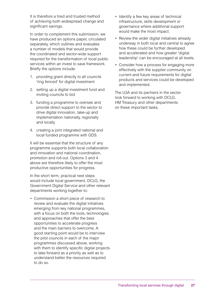It is therefore a tried and trusted method of achieving both widespread change and significant savings.

In order to complement this submission, we have produced an options paper, circulated separately, which outlines and evaluates a number of models that would provide the coordinated and sector-wide support required for the transformation of local public services within an invest to save framework. Briefly the options include:

- 1. providing grant directly to all councils 'ring fenced' for digital investment
- 2. setting up a digital investment fund and inviting councils to bid
- 3. funding a programme to oversee and provide direct support to the sector to drive digital innovation, take-up and implementation nationally, regionally and locally
- 4. creating a joint integrated national and local funded programme with GDS.

It will be essential that the structure of any programme supports both local collaboration and innovation and national coordination, promotion and roll-out. Options 3 and 4 above are therefore likely to offer the most productive opportunities for progress.

In the short term, practical next steps would include local government, DCLG, the Government Digital Service and other relevant departments working together to:

• Commission a short piece of research to review and evaluate the digital initiatives emerging from key national programmes, with a focus on both the tools, technologies and approaches that offer the best opportunities to accelerate progress and the main barriers to overcome. A good starting point would be to interview the pilot councils in each of the major programmes discussed above, working with them to identify specific digital projects to take forward as a priority as well as to understand better the resources required to do so.

- Identify a few key areas of technical infrastructure, skills development or governance where additional support would make the most impact.
- Review the wider digital initiatives already underway in both local and central to agree how these could be further developed and accelerated and how greater 'digital leadership' can be encouraged at all levels.
- Consider how a process for engaging more effectively with the supplier community on current and future requirements for digital products and services could be developed and implemented.

The LGA and its partners in the sector look forward to working with DCLG, HM Treasury and other departments on these important tasks.